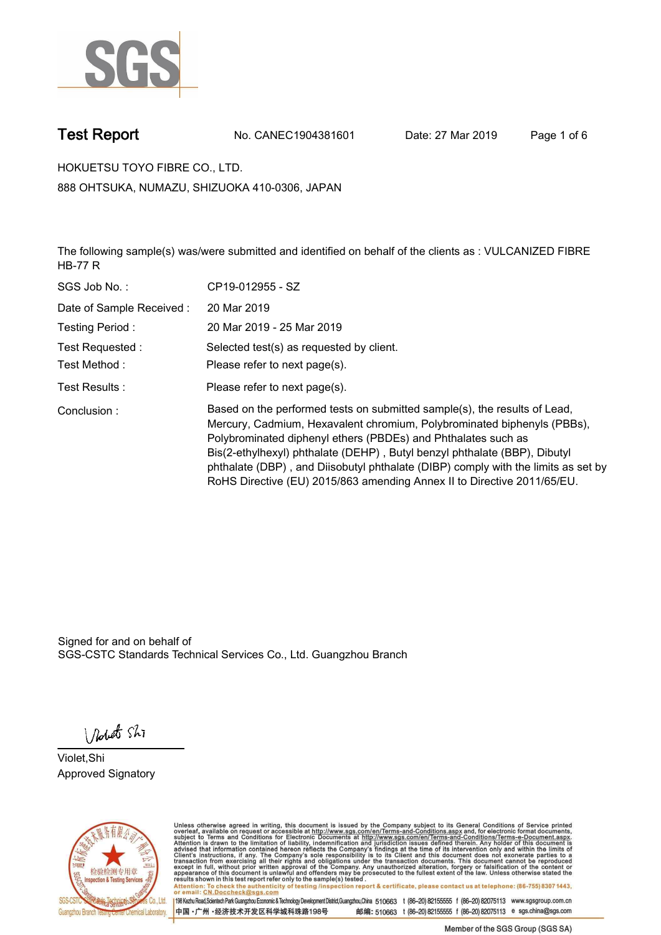

**Test Report. No. CANEC1904381601 Date: 27 Mar 2019. Page 1 of 6.**

**HOKUETSU TOYO FIBRE CO., LTD.. 888 OHTSUKA, NUMAZU, SHIZUOKA 410-0306, JAPAN**

**The following sample(s) was/were submitted and identified on behalf of the clients as : VULCANIZED FIBRE HB-77 R.**

| SGS Job No.:             | CP19-012955 - SZ                                                                                                                                                                                                                                                                                                                                                                                                                                                   |
|--------------------------|--------------------------------------------------------------------------------------------------------------------------------------------------------------------------------------------------------------------------------------------------------------------------------------------------------------------------------------------------------------------------------------------------------------------------------------------------------------------|
| Date of Sample Received: | 20 Mar 2019                                                                                                                                                                                                                                                                                                                                                                                                                                                        |
| Testing Period:          | 20 Mar 2019 - 25 Mar 2019                                                                                                                                                                                                                                                                                                                                                                                                                                          |
| Test Requested :         | Selected test(s) as requested by client.                                                                                                                                                                                                                                                                                                                                                                                                                           |
| Test Method :            | Please refer to next page(s).                                                                                                                                                                                                                                                                                                                                                                                                                                      |
| Test Results :           | Please refer to next page(s).                                                                                                                                                                                                                                                                                                                                                                                                                                      |
| Conclusion:              | Based on the performed tests on submitted sample(s), the results of Lead,<br>Mercury, Cadmium, Hexavalent chromium, Polybrominated biphenyls (PBBs),<br>Polybrominated diphenyl ethers (PBDEs) and Phthalates such as<br>Bis(2-ethylhexyl) phthalate (DEHP), Butyl benzyl phthalate (BBP), Dibutyl<br>phthalate (DBP), and Diisobutyl phthalate (DIBP) comply with the limits as set by<br>RoHS Directive (EU) 2015/863 amending Annex II to Directive 2011/65/EU. |

Signed for and on behalf of SGS-CSTC Standards Technical Services Co., Ltd. Guangzhou Branch.

Nobet Shi

**Violet,Shi. Approved Signatory.**



Unless otherwise agreed in writing, this document is issued by the Company subject to its General Conditions of Service printed<br>overleaf, available on request or accessible at http://www.sgs.com/en/Terms-and-Conditions.asp Attention: To check the authenticity of testing /inspection report & certificate, please contact us at telephone: (86-755) 8307 1443,<br>Attention: To check the authenticity of testing /inspection report & certificate, please

198 Kezhu Road,Scientech Park Guangzhou Economic & Technology Development District,Guangzhou,China 510663 t (86-20) 82155555 f (86-20) 82075113 www.sgsgroup.com.cn 邮编: 510663 t (86-20) 82155555 f (86-20) 82075113 e sgs.china@sgs.com 中国·广州·经济技术开发区科学城科珠路198号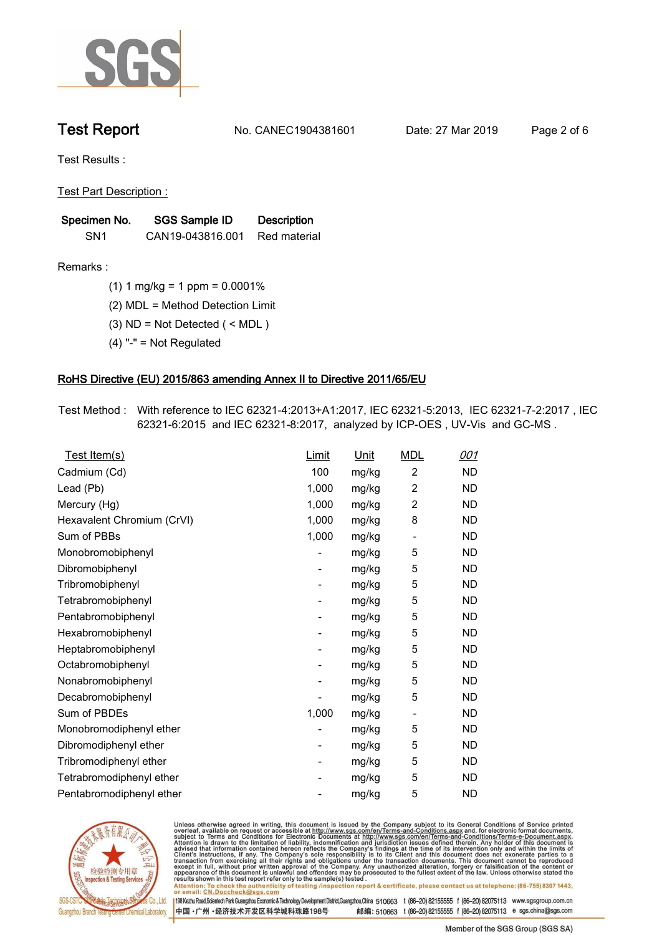

**Test Report. No. CANEC1904381601 Date: 27 Mar 2019. Page 2 of 6.**

**Test Results :.**

**Test Part Description :.**

| Specimen No.    | SGS Sample ID    | <b>Description</b> |  |
|-----------------|------------------|--------------------|--|
| SN <sub>1</sub> | CAN19-043816.001 | Red material       |  |

**Remarks :.(1) 1 mg/kg = 1 ppm = 0.0001%.**

**(2) MDL = Method Detection Limit.**

**(3) ND = Not Detected ( < MDL ).**

**(4) "-" = Not Regulated.**

### **RoHS Directive (EU) 2015/863 amending Annex II to Directive 2011/65/EU.**

**Test Method :. With reference to IEC 62321-4:2013+A1:2017, IEC 62321-5:2013, IEC 62321-7-2:2017 , IEC 62321-6:2015 and IEC 62321-8:2017, analyzed by ICP-OES , UV-Vis and GC-MS ..**

| Test Item(s)               | <u>Limit</u> | <u>Unit</u> | <b>MDL</b>               | 001       |
|----------------------------|--------------|-------------|--------------------------|-----------|
| Cadmium (Cd)               | 100          | mg/kg       | $\overline{2}$           | <b>ND</b> |
| Lead (Pb)                  | 1,000        | mg/kg       | $\overline{c}$           | <b>ND</b> |
| Mercury (Hg)               | 1,000        | mg/kg       | 2                        | <b>ND</b> |
| Hexavalent Chromium (CrVI) | 1,000        | mg/kg       | 8                        | <b>ND</b> |
| Sum of PBBs                | 1,000        | mg/kg       | $\overline{\phantom{a}}$ | <b>ND</b> |
| Monobromobiphenyl          |              | mg/kg       | 5                        | <b>ND</b> |
| Dibromobiphenyl            | -            | mg/kg       | 5                        | <b>ND</b> |
| Tribromobiphenyl           |              | mg/kg       | 5                        | <b>ND</b> |
| Tetrabromobiphenyl         | -            | mg/kg       | 5                        | <b>ND</b> |
| Pentabromobiphenyl         | -            | mg/kg       | 5                        | <b>ND</b> |
| Hexabromobiphenyl          |              | mg/kg       | 5                        | <b>ND</b> |
| Heptabromobiphenyl         | -            | mg/kg       | 5                        | <b>ND</b> |
| Octabromobiphenyl          |              | mg/kg       | 5                        | <b>ND</b> |
| Nonabromobiphenyl          |              | mg/kg       | 5                        | <b>ND</b> |
| Decabromobiphenyl          |              | mg/kg       | 5                        | <b>ND</b> |
| Sum of PBDEs               | 1,000        | mg/kg       | $\overline{\phantom{a}}$ | <b>ND</b> |
| Monobromodiphenyl ether    |              | mg/kg       | 5                        | <b>ND</b> |
| Dibromodiphenyl ether      | -            | mg/kg       | 5                        | <b>ND</b> |
| Tribromodiphenyl ether     | -            | mg/kg       | 5                        | <b>ND</b> |
| Tetrabromodiphenyl ether   |              | mg/kg       | 5                        | <b>ND</b> |
| Pentabromodiphenyl ether   |              | mg/kg       | 5                        | <b>ND</b> |
|                            |              |             |                          |           |



Unless otherwise agreed in writing, this document is issued by the Company subject to its General Conditions of Service printed<br>overleaf, available on request or accessible at http://www.sgs.com/en/Terms-and-Conditions.asp Attention: To check the authenticity of testing /inspection report & certificate, please contact us at telephone: (86-755) 8307 1443,<br>Attention: To check the authenticity of testing /inspection report & certificate, please

198 Kezhu Road,Scientech Park Guangzhou Economic & Technology Development District,Guangzhou,China 510663 t (86-20) 82155555 f (86-20) 82075113 www.sgsgroup.com.cn 邮编: 510663 t (86-20) 82155555 f (86-20) 82075113 e sgs.china@sgs.com 中国·广州·经济技术开发区科学城科珠路198号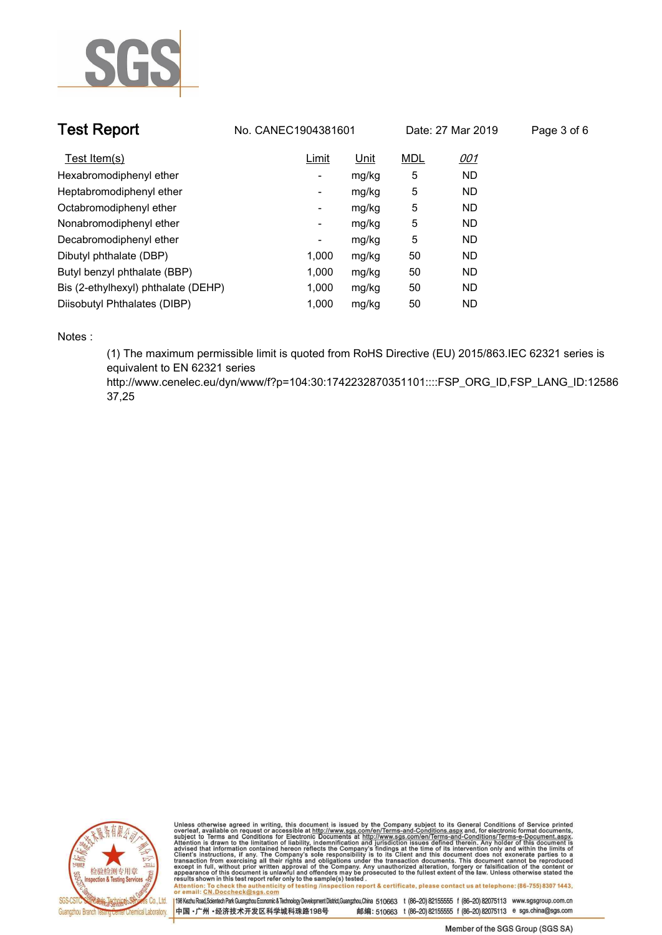

| <b>Test Report</b>                  | No. CANEC1904381601 |             |            | Date: 27 Mar 2019 | Page 3 of 6 |
|-------------------------------------|---------------------|-------------|------------|-------------------|-------------|
| Test Item(s)                        | Limit               | <u>Unit</u> | <b>MDL</b> | <u>001</u>        |             |
| Hexabromodiphenyl ether             | ۰                   | mg/kg       | 5          | <b>ND</b>         |             |
| Heptabromodiphenyl ether            | ۰                   | mg/kg       | 5          | <b>ND</b>         |             |
| Octabromodiphenyl ether             | Ξ.                  | mg/kg       | 5          | <b>ND</b>         |             |
| Nonabromodiphenyl ether             | Ξ.                  | mg/kg       | 5          | <b>ND</b>         |             |
| Decabromodiphenyl ether             | -                   | mg/kg       | 5          | <b>ND</b>         |             |
| Dibutyl phthalate (DBP)             | 1.000               | mg/kg       | 50         | <b>ND</b>         |             |
| Butyl benzyl phthalate (BBP)        | 1,000               | mg/kg       | 50         | <b>ND</b>         |             |
| Bis (2-ethylhexyl) phthalate (DEHP) | 1,000               | mg/kg       | 50         | <b>ND</b>         |             |
| Diisobutyl Phthalates (DIBP)        | 1.000               | mg/kg       | 50         | ND.               |             |

**Notes :.**

**(1) The maximum permissible limit is quoted from RoHS Directive (EU) 2015/863.IEC 62321 series is equivalent to EN 62321 series** 

**http://www.cenelec.eu/dyn/www/f?p=104:30:1742232870351101::::FSP\_ORG\_ID,FSP\_LANG\_ID:12586 37,25.**



Unless otherwise agreed in writing, this document is issued by the Company subject to its General Conditions of Service printed<br>overleaf, available on request or accessible at http://www.sgs.com/en/Terms-and-Conditions.asp Attention: To check the authenticity of testing /inspection report & certificate, please contact us at telephone: (86-755) 8307 1443,<br>Attention: To check the authenticity of testing /inspection report & certificate, please

198 Kezhu Road,Scientech Park Guangzhou Economic & Technology Development District,Guangzhou,China 510663 t (86-20) 82155555 f (86-20) 82075113 www.sgsgroup.com.cn 中国·广州·经济技术开发区科学城科珠路198号 邮编: 510663 t (86-20) 82155555 f (86-20) 82075113 e sgs.china@sgs.com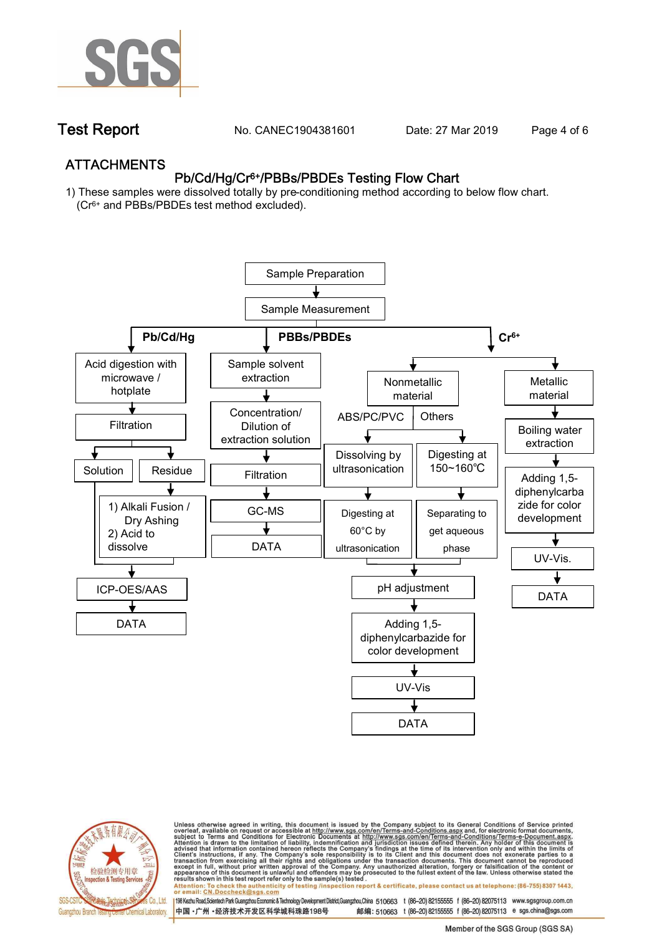

**Test Report. No. CANEC1904381601** Date: 27 Mar 2019 Page 4 of 6

## **ATTACHMENTS Pb/Cd/Hg/Cr6+/PBBs/PBDEs Testing Flow Chart**

**1) These samples were dissolved totally by pre-conditioning method according to below flow chart. (Cr6+ and PBBs/PBDEs test method excluded).**





Unless otherwise agreed in writing, this document is issued by the Company subject to its General Conditions of Service printed<br>overleaf, available on request or accessible at http://www.sgs.com/en/Terms-and-Conditions.asp

résults shown in this test report refer only to the sample(s) tésted .<br>Attention: To check the authenticity of testing /inspection report & certificate, please contact us at telephone: (86-755) 8307 1443,<br>or email: <u>CN.Doc</u>

198 Kezhu Road,Scientech Park Guangzhou Economic & Technology Development District,Guangzhou,China 510663 t (86-20) 82155555 f (86-20) 82075113 www.sgsgroup.com.cn 邮编: 510663 t (86-20) 82155555 f (86-20) 82075113 e sgs.china@sgs.com 中国·广州·经济技术开发区科学城科珠路198号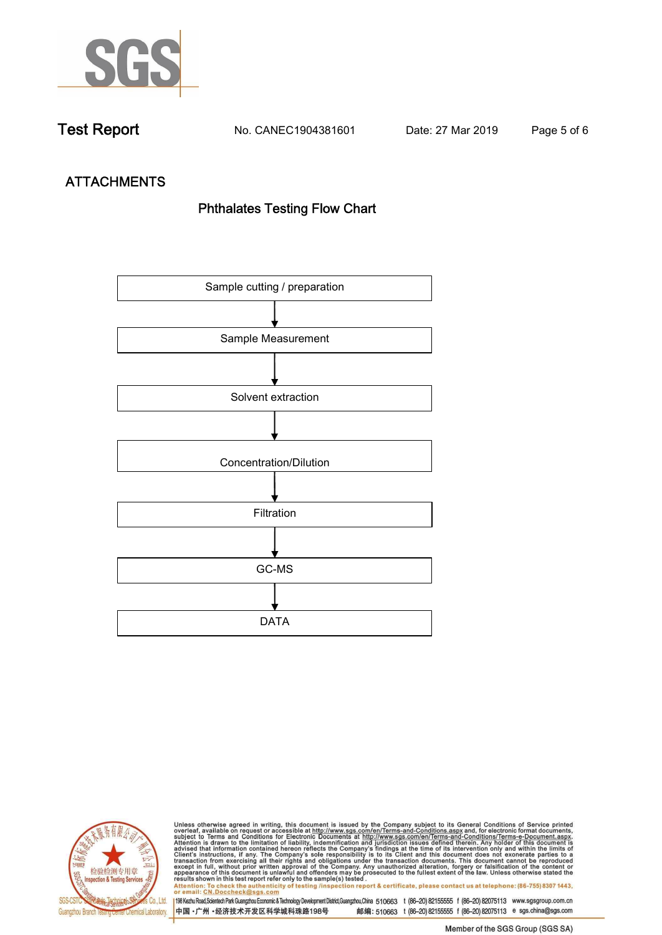

**Test Report. No. CANEC1904381601 Date: 27 Mar 2019. Page 5 of 6.**

# **ATTACHMENTS Phthalates Testing Flow Chart**





Unless otherwise agreed in writing, this document is issued by the Company subject to its General Conditions of Service printed<br>overleaf, available on request or accessible at http://www.sgs.com/en/Terms-and-Conditions.asp results shown in this test report refer only to the sample(s) tested .<br>Attention: To check the authenticity of testing /inspection report & certificate, please contact us at telephone: (86-755) 8307 1443,<br>or email: <u>CN.Doc</u>

198 Kezhu Road,Scientech Park Guangzhou Economic & Technology Development District,Guangzhou,China 510663 t (86-20) 82155555 f (86-20) 82075113 www.sgsgroup.com.cn 中国·广州·经济技术开发区科学城科珠路198号 邮编: 510663 t (86-20) 82155555 f (86-20) 82075113 e sgs.china@sgs.com